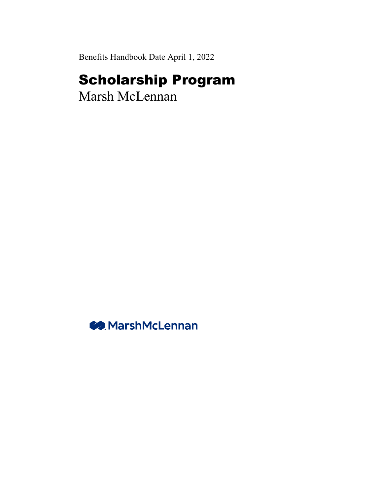Benefits Handbook Date April 1, 2022

# Scholarship Program

Marsh McLennan

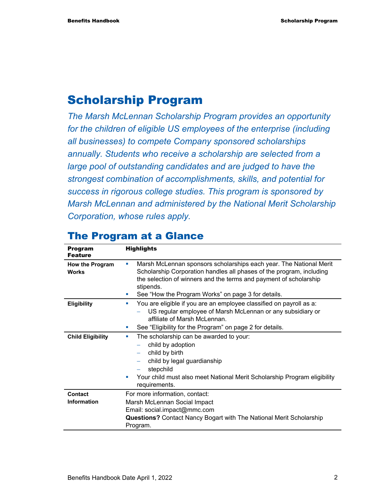# Scholarship Program

*The Marsh McLennan Scholarship Program provides an opportunity for the children of eligible US employees of the enterprise (including all businesses) to compete Company sponsored scholarships annually. Students who receive a scholarship are selected from a large pool of outstanding candidates and are judged to have the strongest combination of accomplishments, skills, and potential for success in rigorous college studies. This program is sponsored by Marsh McLennan and administered by the National Merit Scholarship Corporation, whose rules apply.* 

| <b>Program</b><br><b>Feature</b> | <b>Highlights</b>                                                                                                                                                                                                                                                                                    |
|----------------------------------|------------------------------------------------------------------------------------------------------------------------------------------------------------------------------------------------------------------------------------------------------------------------------------------------------|
| How the Program<br><b>Works</b>  | Marsh McLennan sponsors scholarships each year. The National Merit<br>Scholarship Corporation handles all phases of the program, including<br>the selection of winners and the terms and payment of scholarship<br>stipends.<br>See "How the Program Works" on page 3 for details.<br><b>Service</b> |
| <b>Eligibility</b>               | You are eligible if you are an employee classified on payroll as a:<br><b>College</b><br>US regular employee of Marsh McLennan or any subsidiary or<br>affiliate of Marsh McLennan.<br>See "Eligibility for the Program" on page 2 for details.<br>m.                                                |
| <b>Child Eligibility</b>         | The scholarship can be awarded to your:<br>×<br>child by adoption<br>child by birth<br>$\overline{\phantom{0}}$<br>child by legal guardianship<br>stepchild<br>Your child must also meet National Merit Scholarship Program eligibility<br>ш<br>requirements.                                        |
| Contact<br><b>Information</b>    | For more information, contact:<br>Marsh McLennan Social Impact<br>Email: social.impact@mmc.com<br><b>Questions?</b> Contact Nancy Bogart with The National Merit Scholarship<br>Program.                                                                                                             |

# The Program at a Glance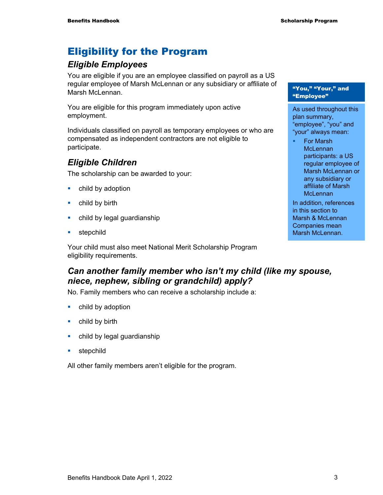# Eligibility for the Program

# *Eligible Employees*

You are eligible if you are an employee classified on payroll as a US regular employee of Marsh McLennan or any subsidiary or affiliate of Marsh McLennan.

You are eligible for this program immediately upon active employment.

Individuals classified on payroll as temporary employees or who are compensated as independent contractors are not eligible to participate.

# *Eligible Children*

The scholarship can be awarded to your:

- child by adoption
- **•** child by birth
- **•** child by legal guardianship
- **stepchild**

Your child must also meet National Merit Scholarship Program eligibility requirements.

# *Can another family member who isn't my child (like my spouse, niece, nephew, sibling or grandchild) apply?*

No. Family members who can receive a scholarship include a:

- child by adoption
- **•** child by birth
- **•** child by legal guardianship
- **stepchild**

All other family members aren't eligible for the program.

#### "You," "Your," and "Employee"

As used throughout this plan summary, "employee", "you" and "your" always mean:

■ For Marsh **McLennan** participants: a US regular employee of Marsh McLennan or any subsidiary or affiliate of Marsh **McLennan** 

In addition, references in this section to Marsh & McLennan Companies mean Marsh McLennan.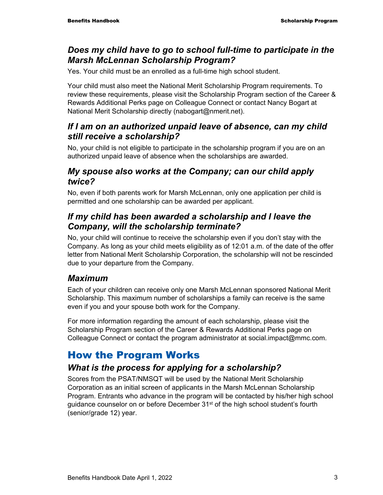#### *Does my child have to go to school full-time to participate in the Marsh McLennan Scholarship Program?*

Yes. Your child must be an enrolled as a full-time high school student.

Your child must also meet the National Merit Scholarship Program requirements. To review these requirements, please visit the Scholarship Program section of the Career & Rewards Additional Perks page on Colleague Connect or contact Nancy Bogart at National Merit Scholarship directly (nabogart@nmerit.net).

#### *If I am on an authorized unpaid leave of absence, can my child still receive a scholarship?*

No, your child is not eligible to participate in the scholarship program if you are on an authorized unpaid leave of absence when the scholarships are awarded.

#### *My spouse also works at the Company; can our child apply twice?*

No, even if both parents work for Marsh McLennan, only one application per child is permitted and one scholarship can be awarded per applicant.

#### *If my child has been awarded a scholarship and I leave the Company, will the scholarship terminate?*

No, your child will continue to receive the scholarship even if you don't stay with the Company. As long as your child meets eligibility as of 12:01 a.m. of the date of the offer letter from National Merit Scholarship Corporation, the scholarship will not be rescinded due to your departure from the Company.

### *Maximum*

Each of your children can receive only one Marsh McLennan sponsored National Merit Scholarship. This maximum number of scholarships a family can receive is the same even if you and your spouse both work for the Company.

For more information regarding the amount of each scholarship, please visit the Scholarship Program section of the Career & Rewards Additional Perks page on Colleague Connect or contact the program administrator at social.impact@mmc.com.

# How the Program Works

# *What is the process for applying for a scholarship?*

Scores from the PSAT/NMSQT will be used by the National Merit Scholarship Corporation as an initial screen of applicants in the Marsh McLennan Scholarship Program. Entrants who advance in the program will be contacted by his/her high school guidance counselor on or before December 31<sup>st</sup> of the high school student's fourth (senior/grade 12) year.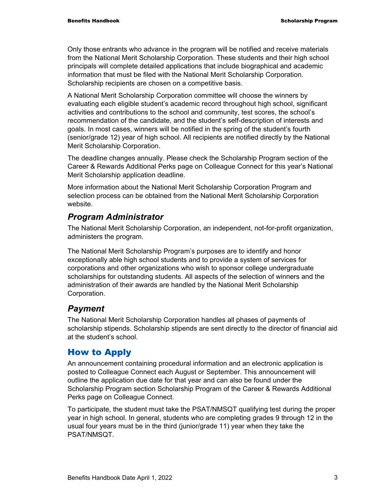Only those entrants who advance in the program will be notified and receive materials from the National Merit Scholarship Corporation. These students and their high school principals will complete detailed applications that include biographical and academic information that must be filed with the National Merit Scholarship Corporation. Scholarship recipients are chosen on a competitive basis.

A National Merit Scholarship Corporation committee will choose the winners by evaluating each eligible student's academic record throughout high school, significant activities and contributions to the school and community, test scores, the school's recommendation of the candidate, and the student's self-description of interests and goals. In most cases, winners will be notified in the spring of the student's fourth (senior/grade 12) year of high school. All recipients are notified directly by the National Merit Scholarship Corporation.

The deadline changes annually. Please check the Scholarship Program section of the Career & Rewards Additional Perks page on Colleague Connect for this year's National Merit Scholarship application deadline.

More information about the National Merit Scholarship Corporation Program and selection process can be obtained from the National Merit Scholarship Corporation website.

#### *Program Administrator*

The National Merit Scholarship Corporation, an independent, not-for-profit organization, administers the program.

The National Merit Scholarship Program's purposes are to identify and honor exceptionally able high school students and to provide a system of services for corporations and other organizations who wish to sponsor college undergraduate scholarships for outstanding students. All aspects of the selection of winners and the administration of their awards are handled by the National Merit Scholarship Corporation.

#### *Payment*

The National Merit Scholarship Corporation handles all phases of payments of scholarship stipends. Scholarship stipends are sent directly to the director of financial aid at the student's school.

#### How to Apply

An announcement containing procedural information and an electronic application is posted to Colleague Connect each August or September. This announcement will outline the application due date for that year and can also be found under the Scholarship Program section Scholarship Program of the Career & Rewards Additional Perks page on Colleague Connect.

To participate, the student must take the PSAT/NMSQT qualifying test during the proper year in high school. In general, students who are completing grades 9 through 12 in the usual four years must be in the third (junior/grade 11) year when they take the PSAT/NMSQT.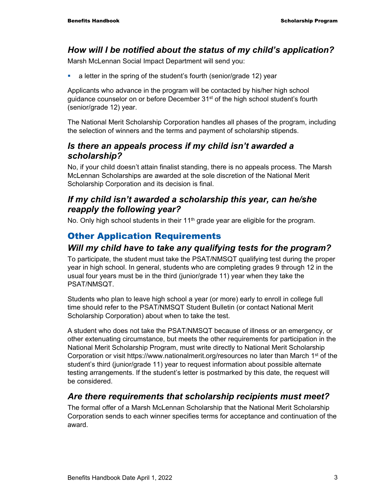### *How will I be notified about the status of my child's application?*

Marsh McLennan Social Impact Department will send you:

a letter in the spring of the student's fourth (senior/grade 12) year

Applicants who advance in the program will be contacted by his/her high school quidance counselor on or before December 31<sup>st</sup> of the high school student's fourth (senior/grade 12) year.

The National Merit Scholarship Corporation handles all phases of the program, including the selection of winners and the terms and payment of scholarship stipends.

#### *Is there an appeals process if my child isn't awarded a scholarship?*

No, if your child doesn't attain finalist standing, there is no appeals process. The Marsh McLennan Scholarships are awarded at the sole discretion of the National Merit Scholarship Corporation and its decision is final.

#### *If my child isn't awarded a scholarship this year, can he/she reapply the following year?*

No. Only high school students in their 11<sup>th</sup> grade year are eligible for the program.

# Other Application Requirements

#### *Will my child have to take any qualifying tests for the program?*

To participate, the student must take the PSAT/NMSQT qualifying test during the proper year in high school. In general, students who are completing grades 9 through 12 in the usual four years must be in the third (junior/grade 11) year when they take the PSAT/NMSQT.

Students who plan to leave high school a year (or more) early to enroll in college full time should refer to the PSAT/NMSQT Student Bulletin (or contact National Merit Scholarship Corporation) about when to take the test.

A student who does not take the PSAT/NMSQT because of illness or an emergency, or other extenuating circumstance, but meets the other requirements for participation in the National Merit Scholarship Program, must write directly to National Merit Scholarship Corporation or visit https://www.nationalmerit.org/resources no later than March 1st of the student's third (junior/grade 11) year to request information about possible alternate testing arrangements. If the student's letter is postmarked by this date, the request will be considered.

#### *Are there requirements that scholarship recipients must meet?*

The formal offer of a Marsh McLennan Scholarship that the National Merit Scholarship Corporation sends to each winner specifies terms for acceptance and continuation of the award.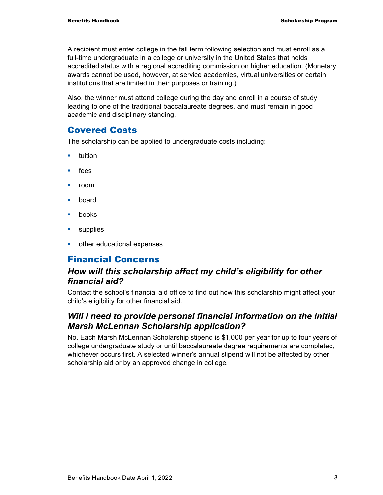A recipient must enter college in the fall term following selection and must enroll as a full-time undergraduate in a college or university in the United States that holds accredited status with a regional accrediting commission on higher education. (Monetary awards cannot be used, however, at service academies, virtual universities or certain institutions that are limited in their purposes or training.)

Also, the winner must attend college during the day and enroll in a course of study leading to one of the traditional baccalaureate degrees, and must remain in good academic and disciplinary standing.

#### Covered Costs

The scholarship can be applied to undergraduate costs including:

- $\blacksquare$  tuition
- $\blacksquare$  fees
- room
- board
- books
- **supplies**
- **•** other educational expenses

#### Financial Concerns

#### *How will this scholarship affect my child's eligibility for other financial aid?*

Contact the school's financial aid office to find out how this scholarship might affect your child's eligibility for other financial aid.

#### *Will I need to provide personal financial information on the initial Marsh McLennan Scholarship application?*

No. Each Marsh McLennan Scholarship stipend is \$1,000 per year for up to four years of college undergraduate study or until baccalaureate degree requirements are completed, whichever occurs first. A selected winner's annual stipend will not be affected by other scholarship aid or by an approved change in college.